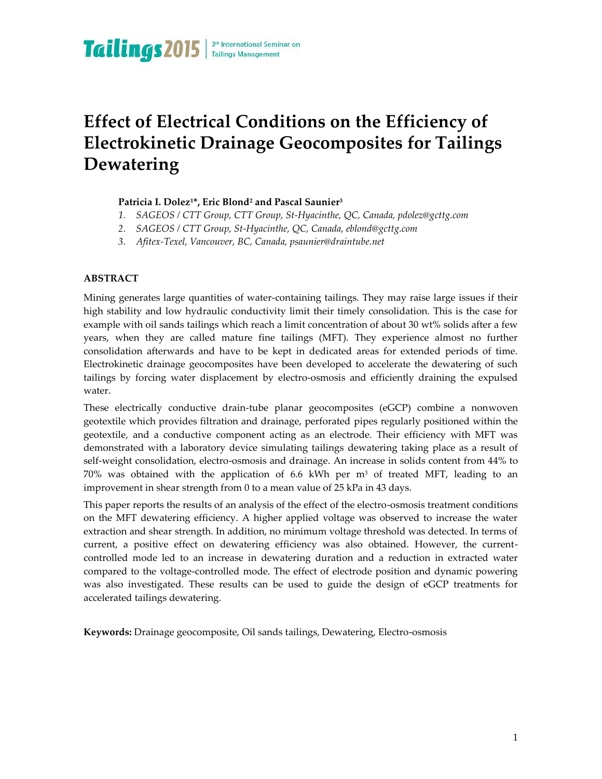# **Effect of Electrical Conditions on the Efficiency of Electrokinetic Drainage Geocomposites for Tailings Dewatering**

# **Patricia I. Dolez1\*, Eric Blond<sup>2</sup> and Pascal Saunier<sup>3</sup>**

- *1. SAGEOS / CTT Group, CTT Group, St-Hyacinthe, QC, Canada, pdolez@gcttg.com*
- *2. SAGEOS / CTT Group, St-Hyacinthe, QC, Canada, eblond@gcttg.com*
- *3. Afitex-Texel, Vancouver, BC, Canada, psaunier@draintube.net*

### **ABSTRACT**

Mining generates large quantities of water-containing tailings. They may raise large issues if their high stability and low hydraulic conductivity limit their timely consolidation. This is the case for example with oil sands tailings which reach a limit concentration of about 30 wt% solids after a few years, when they are called mature fine tailings (MFT). They experience almost no further consolidation afterwards and have to be kept in dedicated areas for extended periods of time. Electrokinetic drainage geocomposites have been developed to accelerate the dewatering of such tailings by forcing water displacement by electro-osmosis and efficiently draining the expulsed water.

These electrically conductive drain-tube planar geocomposites (eGCP) combine a nonwoven geotextile which provides filtration and drainage, perforated pipes regularly positioned within the geotextile, and a conductive component acting as an electrode. Their efficiency with MFT was demonstrated with a laboratory device simulating tailings dewatering taking place as a result of self-weight consolidation, electro-osmosis and drainage. An increase in solids content from 44% to 70% was obtained with the application of 6.6 kWh per  $m<sup>3</sup>$  of treated MFT, leading to an improvement in shear strength from 0 to a mean value of 25 kPa in 43 days.

This paper reports the results of an analysis of the effect of the electro-osmosis treatment conditions on the MFT dewatering efficiency. A higher applied voltage was observed to increase the water extraction and shear strength. In addition, no minimum voltage threshold was detected. In terms of current, a positive effect on dewatering efficiency was also obtained. However, the currentcontrolled mode led to an increase in dewatering duration and a reduction in extracted water compared to the voltage-controlled mode. The effect of electrode position and dynamic powering was also investigated. These results can be used to guide the design of eGCP treatments for accelerated tailings dewatering.

**Keywords:** Drainage geocomposite, Oil sands tailings, Dewatering, Electro-osmosis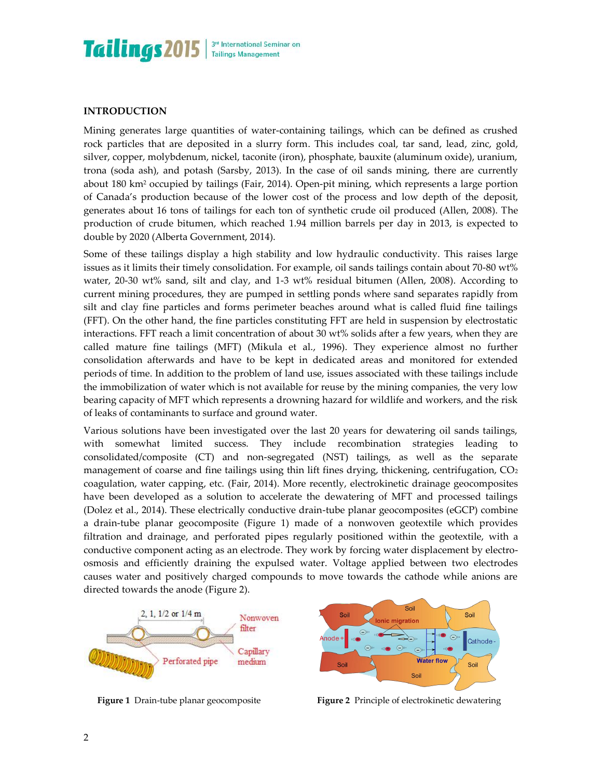

### **INTRODUCTION**

Mining generates large quantities of water-containing tailings, which can be defined as crushed rock particles that are deposited in a slurry form. This includes coal, tar sand, lead, zinc, gold, silver, copper, molybdenum, nickel, taconite (iron), phosphate, bauxite (aluminum oxide), uranium, trona (soda ash), and potash (Sarsby, 2013). In the case of oil sands mining, there are currently about 180 km<sup>2</sup> occupied by tailings (Fair, 2014). Open-pit mining, which represents a large portion of Canada's production because of the lower cost of the process and low depth of the deposit, generates about 16 tons of tailings for each ton of synthetic crude oil produced (Allen, 2008). The production of crude bitumen, which reached 1.94 million barrels per day in 2013, is expected to double by 2020 (Alberta Government, 2014).

Some of these tailings display a high stability and low hydraulic conductivity. This raises large issues as it limits their timely consolidation. For example, oil sands tailings contain about 70-80 wt% water, 20-30 wt% sand, silt and clay, and 1-3 wt% residual bitumen (Allen, 2008). According to current mining procedures, they are pumped in settling ponds where sand separates rapidly from silt and clay fine particles and forms perimeter beaches around what is called fluid fine tailings (FFT). On the other hand, the fine particles constituting FFT are held in suspension by electrostatic interactions. FFT reach a limit concentration of about 30 wt% solids after a few years, when they are called mature fine tailings (MFT) (Mikula et al., 1996). They experience almost no further consolidation afterwards and have to be kept in dedicated areas and monitored for extended periods of time. In addition to the problem of land use, issues associated with these tailings include the immobilization of water which is not available for reuse by the mining companies, the very low bearing capacity of MFT which represents a drowning hazard for wildlife and workers, and the risk of leaks of contaminants to surface and ground water.

Various solutions have been investigated over the last 20 years for dewatering oil sands tailings, with somewhat limited success. They include recombination strategies leading to consolidated/composite (CT) and non-segregated (NST) tailings, as well as the separate management of coarse and fine tailings using thin lift fines drying, thickening, centrifugation,  $CO<sub>2</sub>$ coagulation, water capping, etc. (Fair, 2014). More recently, electrokinetic drainage geocomposites have been developed as a solution to accelerate the dewatering of MFT and processed tailings (Dolez et al., 2014). These electrically conductive drain-tube planar geocomposites (eGCP) combine a drain-tube planar geocomposite (Figure 1) made of a nonwoven geotextile which provides filtration and drainage, and perforated pipes regularly positioned within the geotextile, with a conductive component acting as an electrode. They work by forcing water displacement by electroosmosis and efficiently draining the expulsed water. Voltage applied between two electrodes causes water and positively charged compounds to move towards the cathode while anions are directed towards the anode (Figure 2).





**Figure 1** Drain-tube planar geocomposite **Figure 2** Principle of electrokinetic dewatering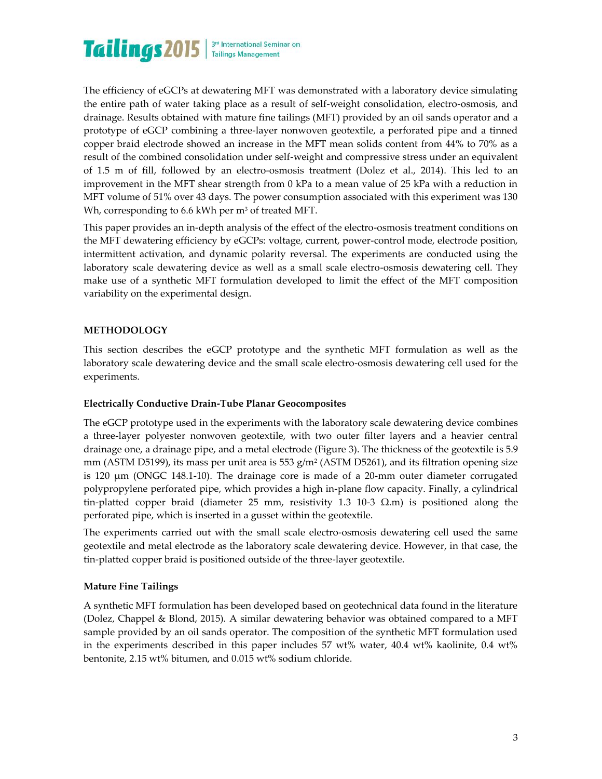

The efficiency of eGCPs at dewatering MFT was demonstrated with a laboratory device simulating the entire path of water taking place as a result of self-weight consolidation, electro-osmosis, and drainage. Results obtained with mature fine tailings (MFT) provided by an oil sands operator and a prototype of eGCP combining a three-layer nonwoven geotextile, a perforated pipe and a tinned copper braid electrode showed an increase in the MFT mean solids content from 44% to 70% as a result of the combined consolidation under self-weight and compressive stress under an equivalent of 1.5 m of fill, followed by an electro-osmosis treatment (Dolez et al., 2014). This led to an improvement in the MFT shear strength from 0 kPa to a mean value of 25 kPa with a reduction in MFT volume of 51% over 43 days. The power consumption associated with this experiment was 130 Wh, corresponding to 6.6 kWh per m<sup>3</sup> of treated MFT.

This paper provides an in-depth analysis of the effect of the electro-osmosis treatment conditions on the MFT dewatering efficiency by eGCPs: voltage, current, power-control mode, electrode position, intermittent activation, and dynamic polarity reversal. The experiments are conducted using the laboratory scale dewatering device as well as a small scale electro-osmosis dewatering cell. They make use of a synthetic MFT formulation developed to limit the effect of the MFT composition variability on the experimental design.

# **METHODOLOGY**

This section describes the eGCP prototype and the synthetic MFT formulation as well as the laboratory scale dewatering device and the small scale electro-osmosis dewatering cell used for the experiments.

#### **Electrically Conductive Drain-Tube Planar Geocomposites**

The eGCP prototype used in the experiments with the laboratory scale dewatering device combines a three-layer polyester nonwoven geotextile, with two outer filter layers and a heavier central drainage one, a drainage pipe, and a metal electrode (Figure 3). The thickness of the geotextile is 5.9 mm (ASTM D5199), its mass per unit area is 553  $g/m^2$  (ASTM D5261), and its filtration opening size is 120 μm (ONGC 148.1-10). The drainage core is made of a 20-mm outer diameter corrugated polypropylene perforated pipe, which provides a high in-plane flow capacity. Finally, a cylindrical tin-platted copper braid (diameter 25 mm, resistivity 1.3 10-3  $\Omega$ .m) is positioned along the perforated pipe, which is inserted in a gusset within the geotextile.

The experiments carried out with the small scale electro-osmosis dewatering cell used the same geotextile and metal electrode as the laboratory scale dewatering device. However, in that case, the tin-platted copper braid is positioned outside of the three-layer geotextile.

#### **Mature Fine Tailings**

A synthetic MFT formulation has been developed based on geotechnical data found in the literature (Dolez, Chappel & Blond, 2015). A similar dewatering behavior was obtained compared to a MFT sample provided by an oil sands operator. The composition of the synthetic MFT formulation used in the experiments described in this paper includes 57 wt% water, 40.4 wt% kaolinite, 0.4 wt% bentonite, 2.15 wt% bitumen, and 0.015 wt% sodium chloride.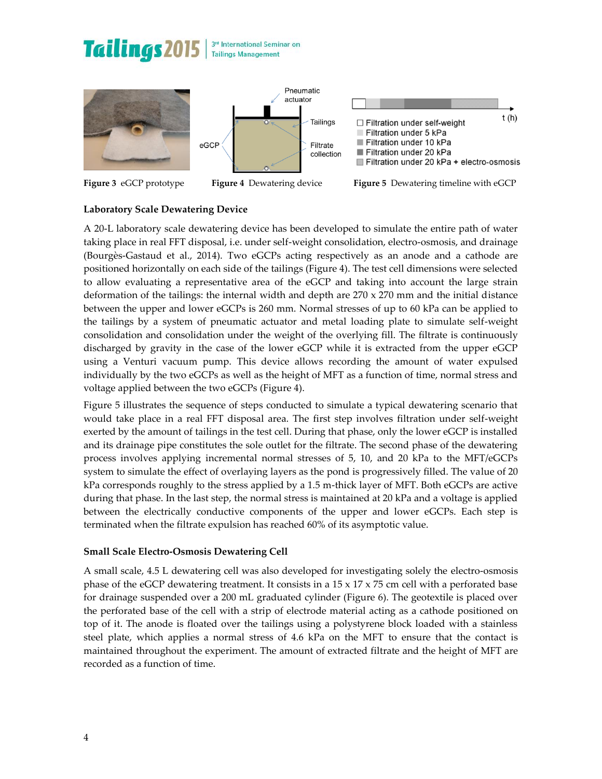# **Tailings2015**









**Figure 3** eGCP prototype **Figure 4** Dewatering device **Figure 5** Dewatering timeline with eGCP

# **Laboratory Scale Dewatering Device**

A 20-L laboratory scale dewatering device has been developed to simulate the entire path of water taking place in real FFT disposal, i.e. under self-weight consolidation, electro-osmosis, and drainage (Bourgès-Gastaud et al., 2014). Two eGCPs acting respectively as an anode and a cathode are positioned horizontally on each side of the tailings (Figure 4). The test cell dimensions were selected to allow evaluating a representative area of the eGCP and taking into account the large strain deformation of the tailings: the internal width and depth are  $270 \times 270$  mm and the initial distance between the upper and lower eGCPs is 260 mm. Normal stresses of up to 60 kPa can be applied to the tailings by a system of pneumatic actuator and metal loading plate to simulate self-weight consolidation and consolidation under the weight of the overlying fill. The filtrate is continuously discharged by gravity in the case of the lower eGCP while it is extracted from the upper eGCP using a Venturi vacuum pump. This device allows recording the amount of water expulsed individually by the two eGCPs as well as the height of MFT as a function of time, normal stress and voltage applied between the two eGCPs (Figure 4).

Figure 5 illustrates the sequence of steps conducted to simulate a typical dewatering scenario that would take place in a real FFT disposal area. The first step involves filtration under self-weight exerted by the amount of tailings in the test cell. During that phase, only the lower eGCP is installed and its drainage pipe constitutes the sole outlet for the filtrate. The second phase of the dewatering process involves applying incremental normal stresses of 5, 10, and 20 kPa to the MFT/eGCPs system to simulate the effect of overlaying layers as the pond is progressively filled. The value of 20 kPa corresponds roughly to the stress applied by a 1.5 m-thick layer of MFT. Both eGCPs are active during that phase. In the last step, the normal stress is maintained at 20 kPa and a voltage is applied between the electrically conductive components of the upper and lower eGCPs. Each step is terminated when the filtrate expulsion has reached 60% of its asymptotic value.

# **Small Scale Electro-Osmosis Dewatering Cell**

A small scale, 4.5 L dewatering cell was also developed for investigating solely the electro-osmosis phase of the eGCP dewatering treatment. It consists in a  $15 \times 17 \times 75$  cm cell with a perforated base for drainage suspended over a 200 mL graduated cylinder (Figure 6). The geotextile is placed over the perforated base of the cell with a strip of electrode material acting as a cathode positioned on top of it. The anode is floated over the tailings using a polystyrene block loaded with a stainless steel plate, which applies a normal stress of 4.6 kPa on the MFT to ensure that the contact is maintained throughout the experiment. The amount of extracted filtrate and the height of MFT are recorded as a function of time.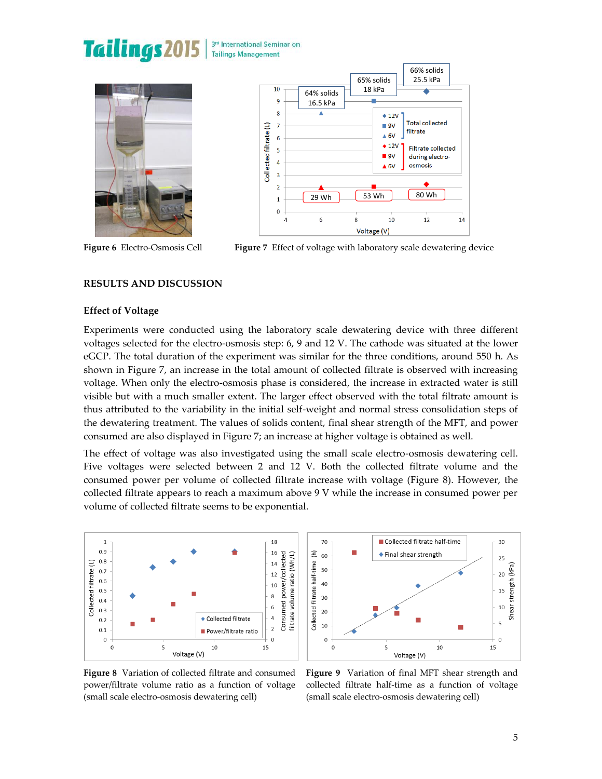# Tailings 2015









**Figure 6** Electro-Osmosis Cell **Figure 7** Effect of voltage with laboratory scale dewatering device

# **RESULTS AND DISCUSSION**

#### **Effect of Voltage**

Experiments were conducted using the laboratory scale dewatering device with three different voltages selected for the electro-osmosis step: 6, 9 and 12 V. The cathode was situated at the lower eGCP. The total duration of the experiment was similar for the three conditions, around 550 h. As shown in Figure 7, an increase in the total amount of collected filtrate is observed with increasing voltage. When only the electro-osmosis phase is considered, the increase in extracted water is still visible but with a much smaller extent. The larger effect observed with the total filtrate amount is thus attributed to the variability in the initial self-weight and normal stress consolidation steps of the dewatering treatment. The values of solids content, final shear strength of the MFT, and power consumed are also displayed in Figure 7; an increase at higher voltage is obtained as well.

The effect of voltage was also investigated using the small scale electro-osmosis dewatering cell. Five voltages were selected between 2 and 12 V. Both the collected filtrate volume and the consumed power per volume of collected filtrate increase with voltage (Figure 8). However, the collected filtrate appears to reach a maximum above 9 V while the increase in consumed power per volume of collected filtrate seems to be exponential.





**Figure 8** Variation of collected filtrate and consumed power/filtrate volume ratio as a function of voltage (small scale electro-osmosis dewatering cell)

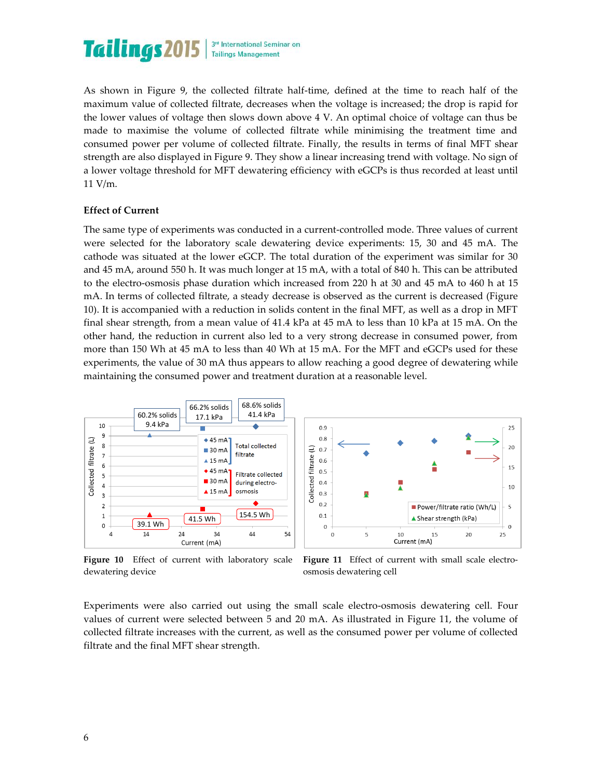

As shown in Figure 9, the collected filtrate half-time, defined at the time to reach half of the maximum value of collected filtrate, decreases when the voltage is increased; the drop is rapid for the lower values of voltage then slows down above 4 V. An optimal choice of voltage can thus be made to maximise the volume of collected filtrate while minimising the treatment time and consumed power per volume of collected filtrate. Finally, the results in terms of final MFT shear strength are also displayed in Figure 9. They show a linear increasing trend with voltage. No sign of a lower voltage threshold for MFT dewatering efficiency with eGCPs is thus recorded at least until 11 V/m.

#### **Effect of Current**

The same type of experiments was conducted in a current-controlled mode. Three values of current were selected for the laboratory scale dewatering device experiments: 15, 30 and 45 mA. The cathode was situated at the lower eGCP. The total duration of the experiment was similar for 30 and 45 mA, around 550 h. It was much longer at 15 mA, with a total of 840 h. This can be attributed to the electro-osmosis phase duration which increased from 220 h at 30 and 45 mA to 460 h at 15 mA. In terms of collected filtrate, a steady decrease is observed as the current is decreased (Figure 10). It is accompanied with a reduction in solids content in the final MFT, as well as a drop in MFT final shear strength, from a mean value of 41.4 kPa at 45 mA to less than 10 kPa at 15 mA. On the other hand, the reduction in current also led to a very strong decrease in consumed power, from more than 150 Wh at 45 mA to less than 40 Wh at 15 mA. For the MFT and eGCPs used for these experiments, the value of 30 mA thus appears to allow reaching a good degree of dewatering while maintaining the consumed power and treatment duration at a reasonable level.



 $0.9$  $25$  $0.8$  $20<sup>o</sup>$ Collected filtrate (L)  $0.7$  $0.6$ ▲ 15  $0.5$  $0.4$  $10$  $0.3$ Ä  $0.2$ Power/filtrate ratio (Wh/L)  $\overline{5}$  $0.1$ ▲ Shear strength (kPa)  $\overline{0}$  $\overline{0}$ 5  $25$  $\overline{0}$ 10 15  $20$ Current (mA)

**Figure 10** Effect of current with laboratory scale dewatering device

Figure 11 Effect of current with small scale electroosmosis dewatering cell

Experiments were also carried out using the small scale electro-osmosis dewatering cell. Four values of current were selected between 5 and 20 mA. As illustrated in Figure 11, the volume of collected filtrate increases with the current, as well as the consumed power per volume of collected filtrate and the final MFT shear strength.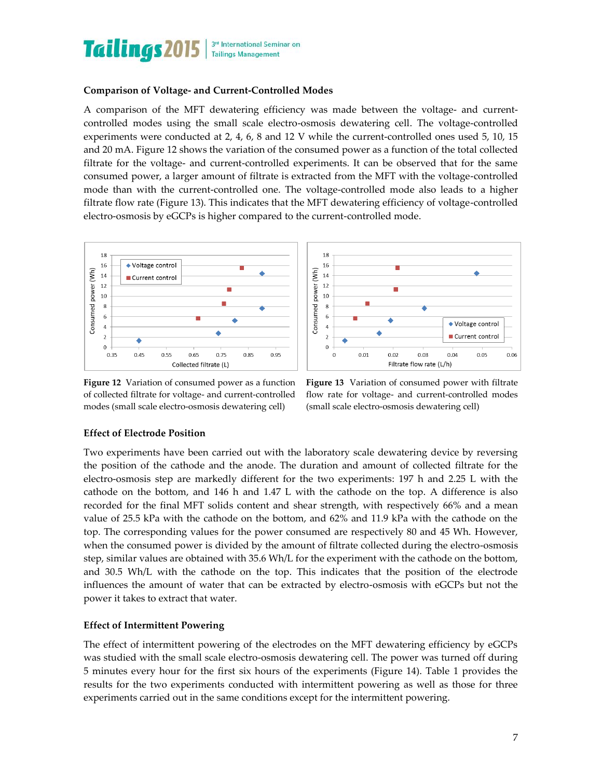

#### **Comparison of Voltage- and Current-Controlled Modes**

A comparison of the MFT dewatering efficiency was made between the voltage- and currentcontrolled modes using the small scale electro-osmosis dewatering cell. The voltage-controlled experiments were conducted at 2, 4, 6, 8 and 12 V while the current-controlled ones used 5, 10, 15 and 20 mA. Figure 12 shows the variation of the consumed power as a function of the total collected filtrate for the voltage- and current-controlled experiments. It can be observed that for the same consumed power, a larger amount of filtrate is extracted from the MFT with the voltage-controlled mode than with the current-controlled one. The voltage-controlled mode also leads to a higher filtrate flow rate (Figure 13). This indicates that the MFT dewatering efficiency of voltage-controlled electro-osmosis by eGCPs is higher compared to the current-controlled mode.





**Figure 12** Variation of consumed power as a function of collected filtrate for voltage- and current-controlled modes (small scale electro-osmosis dewatering cell)

**Figure 13** Variation of consumed power with filtrate flow rate for voltage- and current-controlled modes (small scale electro-osmosis dewatering cell)

#### **Effect of Electrode Position**

Two experiments have been carried out with the laboratory scale dewatering device by reversing the position of the cathode and the anode. The duration and amount of collected filtrate for the electro-osmosis step are markedly different for the two experiments: 197 h and 2.25 L with the cathode on the bottom, and 146 h and 1.47 L with the cathode on the top. A difference is also recorded for the final MFT solids content and shear strength, with respectively 66% and a mean value of 25.5 kPa with the cathode on the bottom, and 62% and 11.9 kPa with the cathode on the top. The corresponding values for the power consumed are respectively 80 and 45 Wh. However, when the consumed power is divided by the amount of filtrate collected during the electro-osmosis step, similar values are obtained with 35.6 Wh/L for the experiment with the cathode on the bottom, and 30.5 Wh/L with the cathode on the top. This indicates that the position of the electrode influences the amount of water that can be extracted by electro-osmosis with eGCPs but not the power it takes to extract that water.

#### **Effect of Intermittent Powering**

The effect of intermittent powering of the electrodes on the MFT dewatering efficiency by eGCPs was studied with the small scale electro-osmosis dewatering cell. The power was turned off during 5 minutes every hour for the first six hours of the experiments (Figure 14). Table 1 provides the results for the two experiments conducted with intermittent powering as well as those for three experiments carried out in the same conditions except for the intermittent powering.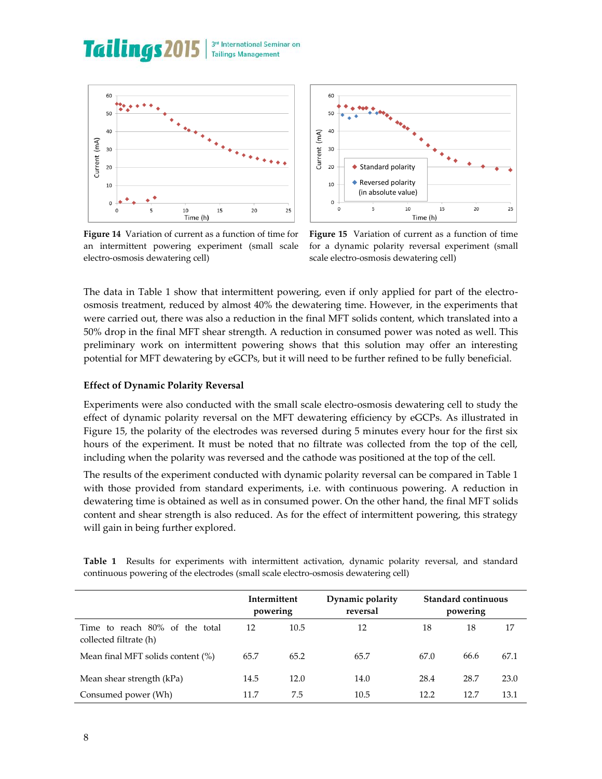#### **Tailings 2015** 3rd International Seminar on **Tailings Management**





**Figure 14** Variation of current as a function of time for an intermittent powering experiment (small scale electro-osmosis dewatering cell)

**Figure 15** Variation of current as a function of time for a dynamic polarity reversal experiment (small scale electro-osmosis dewatering cell)

The data in Table 1 show that intermittent powering, even if only applied for part of the electroosmosis treatment, reduced by almost 40% the dewatering time. However, in the experiments that were carried out, there was also a reduction in the final MFT solids content, which translated into a 50% drop in the final MFT shear strength. A reduction in consumed power was noted as well. This preliminary work on intermittent powering shows that this solution may offer an interesting potential for MFT dewatering by eGCPs, but it will need to be further refined to be fully beneficial.

#### **Effect of Dynamic Polarity Reversal**

Experiments were also conducted with the small scale electro-osmosis dewatering cell to study the effect of dynamic polarity reversal on the MFT dewatering efficiency by eGCPs. As illustrated in Figure 15, the polarity of the electrodes was reversed during 5 minutes every hour for the first six hours of the experiment. It must be noted that no filtrate was collected from the top of the cell, including when the polarity was reversed and the cathode was positioned at the top of the cell.

The results of the experiment conducted with dynamic polarity reversal can be compared in Table 1 with those provided from standard experiments, i.e. with continuous powering. A reduction in dewatering time is obtained as well as in consumed power. On the other hand, the final MFT solids content and shear strength is also reduced. As for the effect of intermittent powering, this strategy will gain in being further explored.

|                                                                                     |  |  | Table 1 Results for experiments with intermittent activation, dynamic polarity reversal, and standard |  |  |  |  |  |  |  |  |
|-------------------------------------------------------------------------------------|--|--|-------------------------------------------------------------------------------------------------------|--|--|--|--|--|--|--|--|
| continuous powering of the electrodes (small scale electro-osmosis dewatering cell) |  |  |                                                                                                       |  |  |  |  |  |  |  |  |

|                                                             | Intermittent<br>powering |      | Dynamic polarity<br>reversal |      | Standard continuous<br>powering |      |  |
|-------------------------------------------------------------|--------------------------|------|------------------------------|------|---------------------------------|------|--|
| to reach 80% of the total<br>Time<br>collected filtrate (h) | 12                       | 10.5 | 12                           | 18   | 18                              | 17   |  |
| Mean final MFT solids content (%)                           | 65.7                     | 65.2 | 65.7                         | 67.0 | 66.6                            | 67.1 |  |
| Mean shear strength (kPa)                                   | 14.5                     | 12.0 | 14.0                         | 28.4 | 28.7                            | 23.0 |  |
| Consumed power (Wh)                                         | 11.7                     | 7.5  | 10.5                         | 12.2 | 12.7                            | 13.1 |  |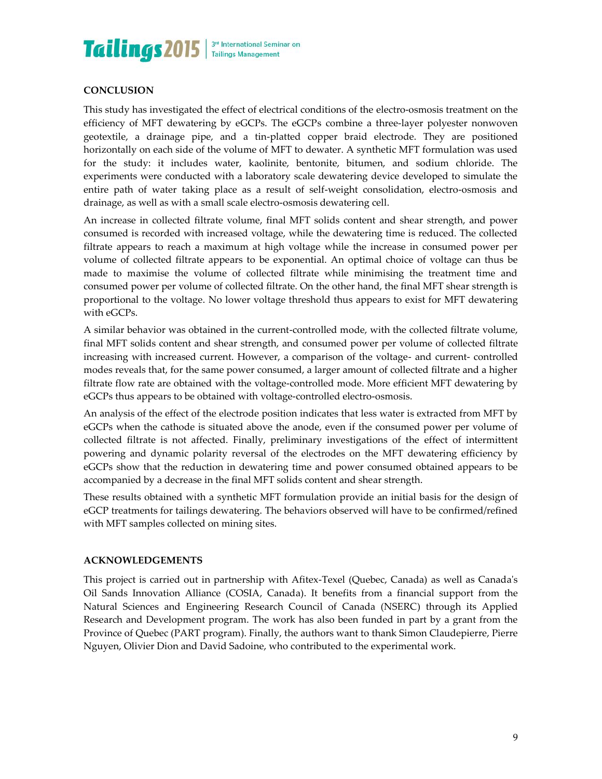

# **CONCLUSION**

This study has investigated the effect of electrical conditions of the electro-osmosis treatment on the efficiency of MFT dewatering by eGCPs. The eGCPs combine a three-layer polyester nonwoven geotextile, a drainage pipe, and a tin-platted copper braid electrode. They are positioned horizontally on each side of the volume of MFT to dewater. A synthetic MFT formulation was used for the study: it includes water, kaolinite, bentonite, bitumen, and sodium chloride. The experiments were conducted with a laboratory scale dewatering device developed to simulate the entire path of water taking place as a result of self-weight consolidation, electro-osmosis and drainage, as well as with a small scale electro-osmosis dewatering cell.

An increase in collected filtrate volume, final MFT solids content and shear strength, and power consumed is recorded with increased voltage, while the dewatering time is reduced. The collected filtrate appears to reach a maximum at high voltage while the increase in consumed power per volume of collected filtrate appears to be exponential. An optimal choice of voltage can thus be made to maximise the volume of collected filtrate while minimising the treatment time and consumed power per volume of collected filtrate. On the other hand, the final MFT shear strength is proportional to the voltage. No lower voltage threshold thus appears to exist for MFT dewatering with eGCPs.

A similar behavior was obtained in the current-controlled mode, with the collected filtrate volume, final MFT solids content and shear strength, and consumed power per volume of collected filtrate increasing with increased current. However, a comparison of the voltage- and current- controlled modes reveals that, for the same power consumed, a larger amount of collected filtrate and a higher filtrate flow rate are obtained with the voltage-controlled mode. More efficient MFT dewatering by eGCPs thus appears to be obtained with voltage-controlled electro-osmosis.

An analysis of the effect of the electrode position indicates that less water is extracted from MFT by eGCPs when the cathode is situated above the anode, even if the consumed power per volume of collected filtrate is not affected. Finally, preliminary investigations of the effect of intermittent powering and dynamic polarity reversal of the electrodes on the MFT dewatering efficiency by eGCPs show that the reduction in dewatering time and power consumed obtained appears to be accompanied by a decrease in the final MFT solids content and shear strength.

These results obtained with a synthetic MFT formulation provide an initial basis for the design of eGCP treatments for tailings dewatering. The behaviors observed will have to be confirmed/refined with MFT samples collected on mining sites.

#### **ACKNOWLEDGEMENTS**

This project is carried out in partnership with Afitex-Texel (Quebec, Canada) as well as Canada's Oil Sands Innovation Alliance (COSIA, Canada). It benefits from a financial support from the Natural Sciences and Engineering Research Council of Canada (NSERC) through its Applied Research and Development program. The work has also been funded in part by a grant from the Province of Quebec (PART program). Finally, the authors want to thank Simon Claudepierre, Pierre Nguyen, Olivier Dion and David Sadoine, who contributed to the experimental work.